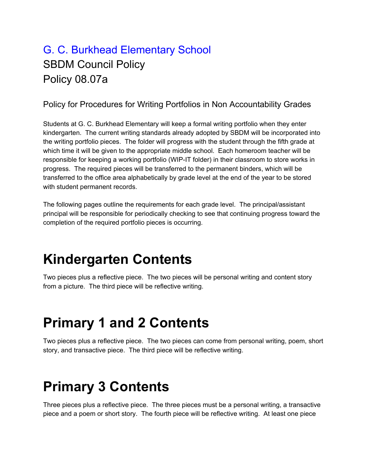#### G. C. Burkhead Elementary School SBDM Council Policy Policy 08.07a

#### Policy for Procedures for Writing Portfolios in Non Accountability Grades

Students at G. C. Burkhead Elementary will keep a formal writing portfolio when they enter kindergarten. The current writing standards already adopted by SBDM will be incorporated into the writing portfolio pieces. The folder will progress with the student through the fifth grade at which time it will be given to the appropriate middle school. Each homeroom teacher will be responsible for keeping a working portfolio (WIP-IT folder) in their classroom to store works in progress. The required pieces will be transferred to the permanent binders, which will be transferred to the office area alphabetically by grade level at the end of the year to be stored with student permanent records.

The following pages outline the requirements for each grade level. The principal/assistant principal will be responsible for periodically checking to see that continuing progress toward the completion of the required portfolio pieces is occurring.

# **Kindergarten Contents**

Two pieces plus a reflective piece. The two pieces will be personal writing and content story from a picture. The third piece will be reflective writing.

# **Primary 1 and 2 Contents**

Two pieces plus a reflective piece. The two pieces can come from personal writing, poem, short story, and transactive piece. The third piece will be reflective writing.

### **Primary 3 Contents**

Three pieces plus a reflective piece. The three pieces must be a personal writing, a transactive piece and a poem or short story. The fourth piece will be reflective writing. At least one piece